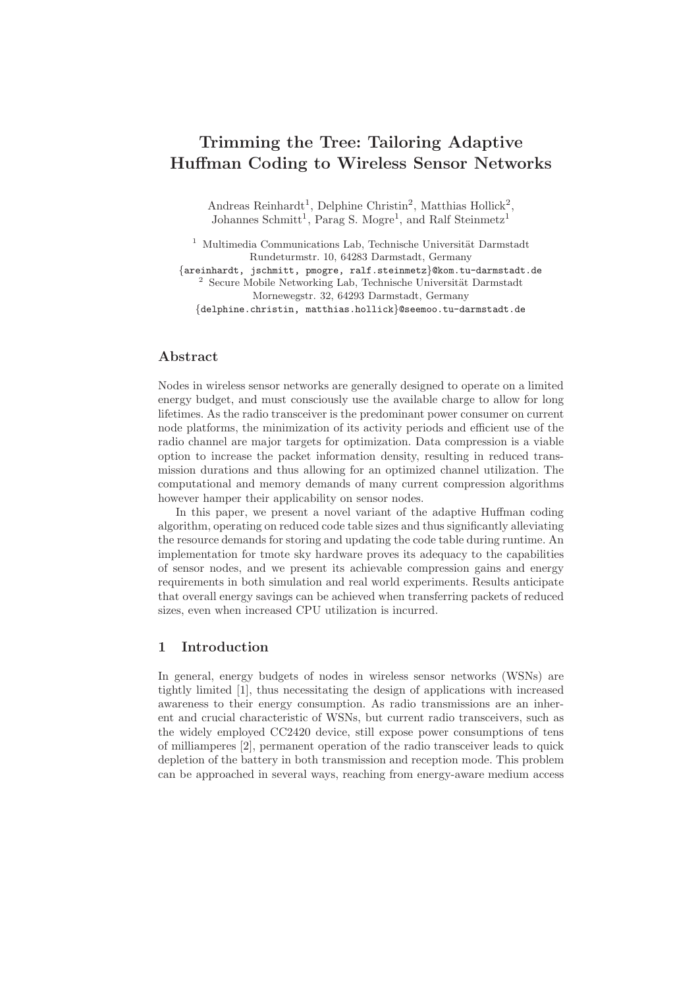# Trimming the Tree: Tailoring Adaptive Huffman Coding to Wireless Sensor Networks

Andreas Reinhardt<sup>1</sup>, Delphine Christin<sup>2</sup>, Matthias Hollick<sup>2</sup>, Johannes Schmitt<sup>1</sup>, Parag S. Mogre<sup>1</sup>, and Ralf Steinmetz<sup>1</sup>

 $^{\rm 1}$  Multimedia Communications Lab, Technische Universität Darmstadt Rundeturmstr. 10, 64283 Darmstadt, Germany {areinhardt, jschmitt, pmogre, ralf.steinmetz}@kom.tu-darmstadt.de

<sup>2</sup> Secure Mobile Networking Lab, Technische Universität Darmstadt Mornewegstr. 32, 64293 Darmstadt, Germany {delphine.christin, matthias.hollick}@seemoo.tu-darmstadt.de

# Abstract

Nodes in wireless sensor networks are generally designed to operate on a limited energy budget, and must consciously use the available charge to allow for long lifetimes. As the radio transceiver is the predominant power consumer on current node platforms, the minimization of its activity periods and efficient use of the radio channel are major targets for optimization. Data compression is a viable option to increase the packet information density, resulting in reduced transmission durations and thus allowing for an optimized channel utilization. The computational and memory demands of many current compression algorithms however hamper their applicability on sensor nodes.

In this paper, we present a novel variant of the adaptive Huffman coding algorithm, operating on reduced code table sizes and thus significantly alleviating the resource demands for storing and updating the code table during runtime. An implementation for tmote sky hardware proves its adequacy to the capabilities of sensor nodes, and we present its achievable compression gains and energy requirements in both simulation and real world experiments. Results anticipate that overall energy savings can be achieved when transferring packets of reduced sizes, even when increased CPU utilization is incurred.

# 1 Introduction

In general, energy budgets of nodes in wireless sensor networks (WSNs) are tightly limited [1], thus necessitating the design of applications with increased awareness to their energy consumption. As radio transmissions are an inherent and crucial characteristic of WSNs, but current radio transceivers, such as the widely employed CC2420 device, still expose power consumptions of tens of milliamperes [2], permanent operation of the radio transceiver leads to quick depletion of the battery in both transmission and reception mode. This problem can be approached in several ways, reaching from energy-aware medium access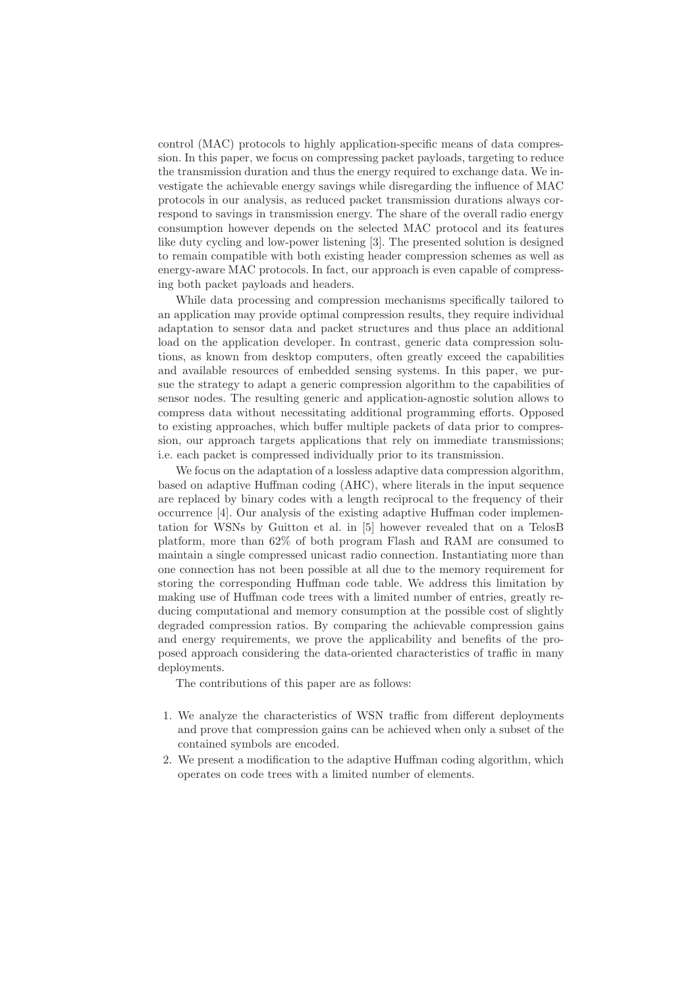control (MAC) protocols to highly application-specific means of data compression. In this paper, we focus on compressing packet payloads, targeting to reduce the transmission duration and thus the energy required to exchange data. We investigate the achievable energy savings while disregarding the influence of MAC protocols in our analysis, as reduced packet transmission durations always correspond to savings in transmission energy. The share of the overall radio energy consumption however depends on the selected MAC protocol and its features like duty cycling and low-power listening [3]. The presented solution is designed to remain compatible with both existing header compression schemes as well as energy-aware MAC protocols. In fact, our approach is even capable of compressing both packet payloads and headers.

While data processing and compression mechanisms specifically tailored to an application may provide optimal compression results, they require individual adaptation to sensor data and packet structures and thus place an additional load on the application developer. In contrast, generic data compression solutions, as known from desktop computers, often greatly exceed the capabilities and available resources of embedded sensing systems. In this paper, we pursue the strategy to adapt a generic compression algorithm to the capabilities of sensor nodes. The resulting generic and application-agnostic solution allows to compress data without necessitating additional programming efforts. Opposed to existing approaches, which buffer multiple packets of data prior to compression, our approach targets applications that rely on immediate transmissions; i.e. each packet is compressed individually prior to its transmission.

We focus on the adaptation of a lossless adaptive data compression algorithm, based on adaptive Huffman coding (AHC), where literals in the input sequence are replaced by binary codes with a length reciprocal to the frequency of their occurrence [4]. Our analysis of the existing adaptive Huffman coder implementation for WSNs by Guitton et al. in [5] however revealed that on a TelosB platform, more than 62% of both program Flash and RAM are consumed to maintain a single compressed unicast radio connection. Instantiating more than one connection has not been possible at all due to the memory requirement for storing the corresponding Huffman code table. We address this limitation by making use of Huffman code trees with a limited number of entries, greatly reducing computational and memory consumption at the possible cost of slightly degraded compression ratios. By comparing the achievable compression gains and energy requirements, we prove the applicability and benefits of the proposed approach considering the data-oriented characteristics of traffic in many deployments.

The contributions of this paper are as follows:

- 1. We analyze the characteristics of WSN traffic from different deployments and prove that compression gains can be achieved when only a subset of the contained symbols are encoded.
- 2. We present a modification to the adaptive Huffman coding algorithm, which operates on code trees with a limited number of elements.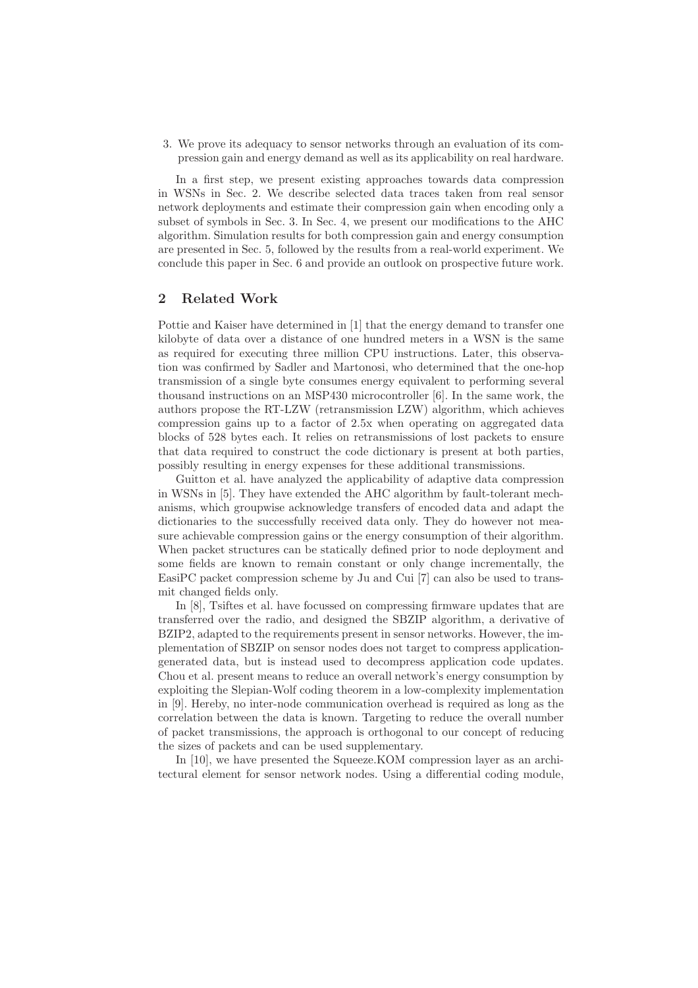3. We prove its adequacy to sensor networks through an evaluation of its compression gain and energy demand as well as its applicability on real hardware.

In a first step, we present existing approaches towards data compression in WSNs in Sec. 2. We describe selected data traces taken from real sensor network deployments and estimate their compression gain when encoding only a subset of symbols in Sec. 3. In Sec. 4, we present our modifications to the AHC algorithm. Simulation results for both compression gain and energy consumption are presented in Sec. 5, followed by the results from a real-world experiment. We conclude this paper in Sec. 6 and provide an outlook on prospective future work.

### 2 Related Work

Pottie and Kaiser have determined in [1] that the energy demand to transfer one kilobyte of data over a distance of one hundred meters in a WSN is the same as required for executing three million CPU instructions. Later, this observation was confirmed by Sadler and Martonosi, who determined that the one-hop transmission of a single byte consumes energy equivalent to performing several thousand instructions on an MSP430 microcontroller [6]. In the same work, the authors propose the RT-LZW (retransmission LZW) algorithm, which achieves compression gains up to a factor of 2.5x when operating on aggregated data blocks of 528 bytes each. It relies on retransmissions of lost packets to ensure that data required to construct the code dictionary is present at both parties, possibly resulting in energy expenses for these additional transmissions.

Guitton et al. have analyzed the applicability of adaptive data compression in WSNs in [5]. They have extended the AHC algorithm by fault-tolerant mechanisms, which groupwise acknowledge transfers of encoded data and adapt the dictionaries to the successfully received data only. They do however not measure achievable compression gains or the energy consumption of their algorithm. When packet structures can be statically defined prior to node deployment and some fields are known to remain constant or only change incrementally, the EasiPC packet compression scheme by Ju and Cui [7] can also be used to transmit changed fields only.

In [8], Tsiftes et al. have focussed on compressing firmware updates that are transferred over the radio, and designed the SBZIP algorithm, a derivative of BZIP2, adapted to the requirements present in sensor networks. However, the implementation of SBZIP on sensor nodes does not target to compress applicationgenerated data, but is instead used to decompress application code updates. Chou et al. present means to reduce an overall network's energy consumption by exploiting the Slepian-Wolf coding theorem in a low-complexity implementation in [9]. Hereby, no inter-node communication overhead is required as long as the correlation between the data is known. Targeting to reduce the overall number of packet transmissions, the approach is orthogonal to our concept of reducing the sizes of packets and can be used supplementary.

In [10], we have presented the Squeeze.KOM compression layer as an architectural element for sensor network nodes. Using a differential coding module,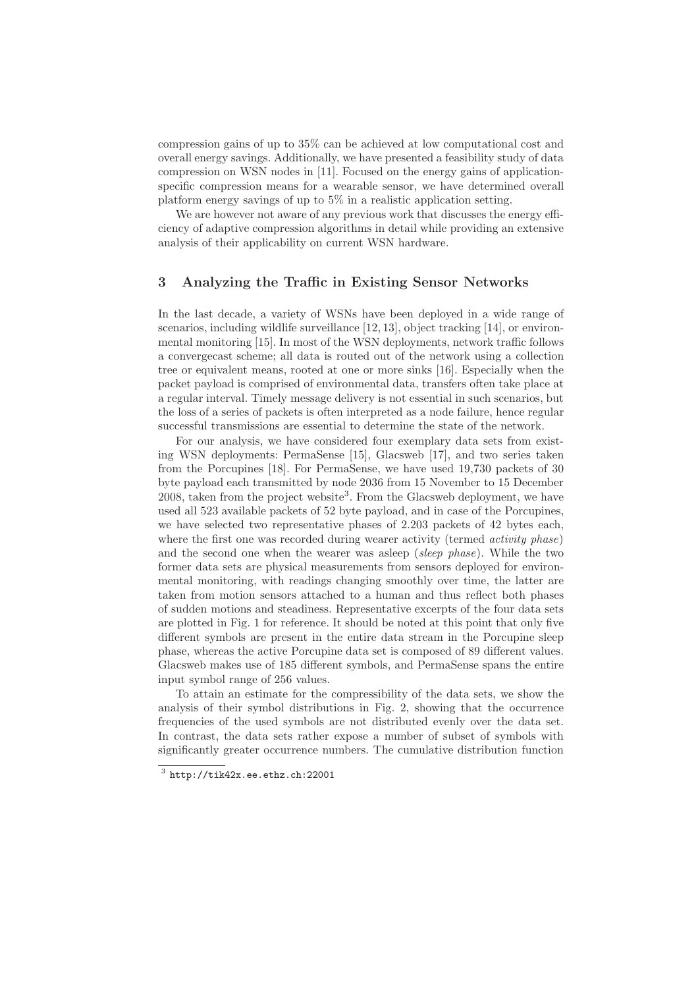compression gains of up to 35% can be achieved at low computational cost and overall energy savings. Additionally, we have presented a feasibility study of data compression on WSN nodes in [11]. Focused on the energy gains of applicationspecific compression means for a wearable sensor, we have determined overall platform energy savings of up to 5% in a realistic application setting.

We are however not aware of any previous work that discusses the energy efficiency of adaptive compression algorithms in detail while providing an extensive analysis of their applicability on current WSN hardware.

# 3 Analyzing the Traffic in Existing Sensor Networks

In the last decade, a variety of WSNs have been deployed in a wide range of scenarios, including wildlife surveillance [12, 13], object tracking [14], or environmental monitoring [15]. In most of the WSN deployments, network traffic follows a convergecast scheme; all data is routed out of the network using a collection tree or equivalent means, rooted at one or more sinks [16]. Especially when the packet payload is comprised of environmental data, transfers often take place at a regular interval. Timely message delivery is not essential in such scenarios, but the loss of a series of packets is often interpreted as a node failure, hence regular successful transmissions are essential to determine the state of the network.

For our analysis, we have considered four exemplary data sets from existing WSN deployments: PermaSense [15], Glacsweb [17], and two series taken from the Porcupines [18]. For PermaSense, we have used 19,730 packets of 30 byte payload each transmitted by node 2036 from 15 November to 15 December  $2008$ , taken from the project website<sup>3</sup>. From the Glacsweb deployment, we have used all 523 available packets of 52 byte payload, and in case of the Porcupines, we have selected two representative phases of 2.203 packets of 42 bytes each, where the first one was recorded during wearer activity (termed *activity phase*) and the second one when the wearer was asleep *(sleep phase)*. While the two former data sets are physical measurements from sensors deployed for environmental monitoring, with readings changing smoothly over time, the latter are taken from motion sensors attached to a human and thus reflect both phases of sudden motions and steadiness. Representative excerpts of the four data sets are plotted in Fig. 1 for reference. It should be noted at this point that only five different symbols are present in the entire data stream in the Porcupine sleep phase, whereas the active Porcupine data set is composed of 89 different values. Glacsweb makes use of 185 different symbols, and PermaSense spans the entire input symbol range of 256 values.

To attain an estimate for the compressibility of the data sets, we show the analysis of their symbol distributions in Fig. 2, showing that the occurrence frequencies of the used symbols are not distributed evenly over the data set. In contrast, the data sets rather expose a number of subset of symbols with significantly greater occurrence numbers. The cumulative distribution function

 $3$  http://tik42x.ee.ethz.ch:22001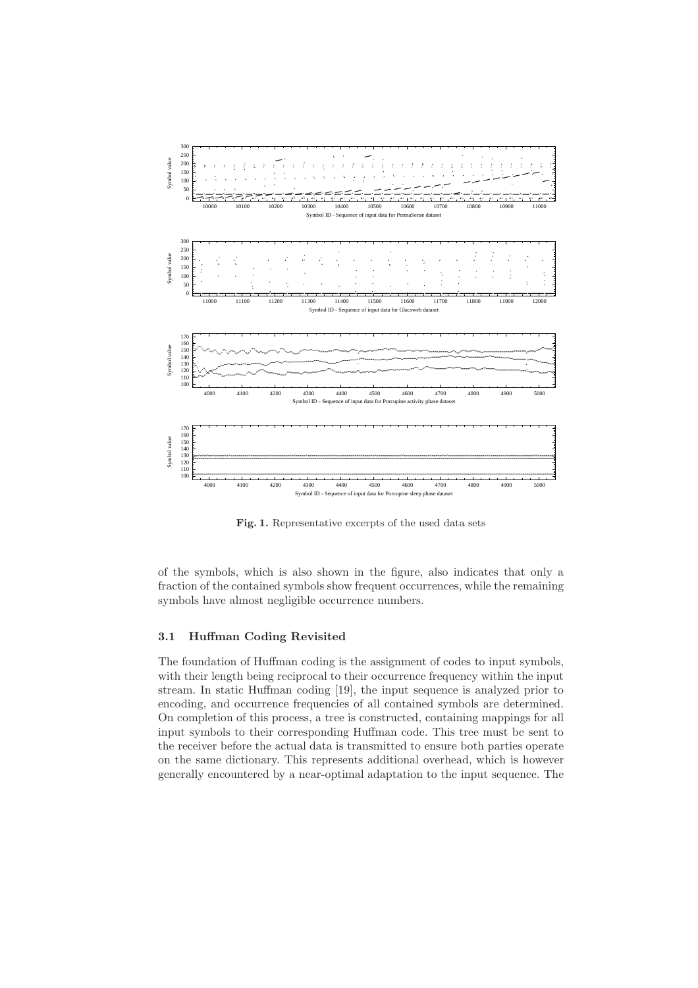

Fig. 1. Representative excerpts of the used data sets

of the symbols, which is also shown in the figure, also indicates that only a fraction of the contained symbols show frequent occurrences, while the remaining symbols have almost negligible occurrence numbers.

### 3.1 Huffman Coding Revisited

The foundation of Huffman coding is the assignment of codes to input symbols, with their length being reciprocal to their occurrence frequency within the input stream. In static Huffman coding [19], the input sequence is analyzed prior to encoding, and occurrence frequencies of all contained symbols are determined. On completion of this process, a tree is constructed, containing mappings for all input symbols to their corresponding Huffman code. This tree must be sent to the receiver before the actual data is transmitted to ensure both parties operate on the same dictionary. This represents additional overhead, which is however generally encountered by a near-optimal adaptation to the input sequence. The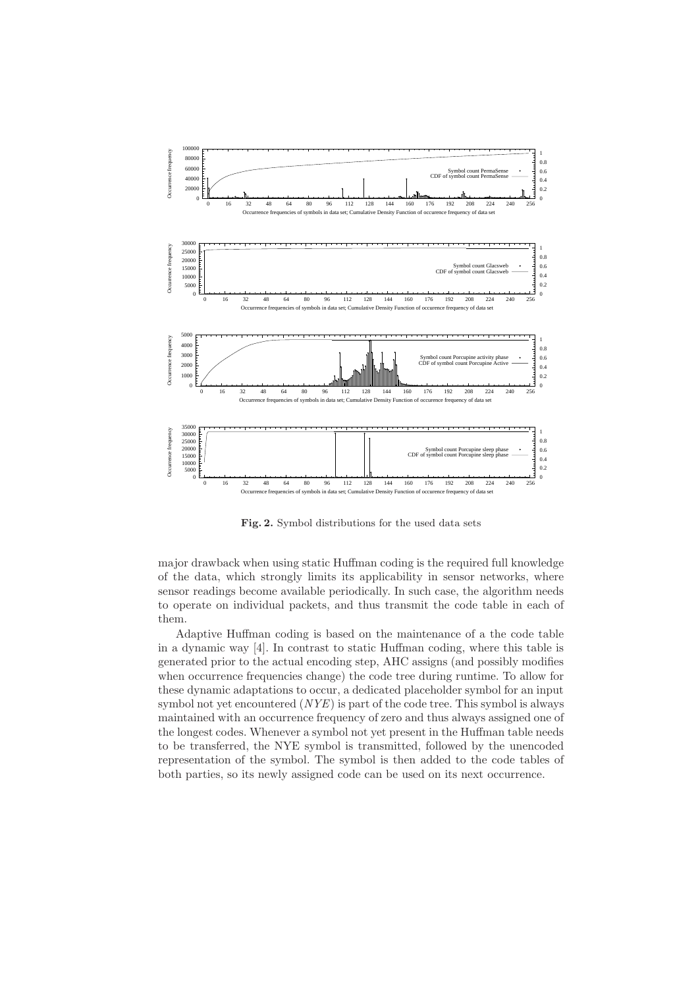

Fig. 2. Symbol distributions for the used data sets

major drawback when using static Huffman coding is the required full knowledge of the data, which strongly limits its applicability in sensor networks, where sensor readings become available periodically. In such case, the algorithm needs to operate on individual packets, and thus transmit the code table in each of them.

Adaptive Huffman coding is based on the maintenance of a the code table in a dynamic way [4]. In contrast to static Huffman coding, where this table is generated prior to the actual encoding step, AHC assigns (and possibly modifies when occurrence frequencies change) the code tree during runtime. To allow for these dynamic adaptations to occur, a dedicated placeholder symbol for an input symbol not yet encountered  $(NYE)$  is part of the code tree. This symbol is always maintained with an occurrence frequency of zero and thus always assigned one of the longest codes. Whenever a symbol not yet present in the Huffman table needs to be transferred, the NYE symbol is transmitted, followed by the unencoded representation of the symbol. The symbol is then added to the code tables of both parties, so its newly assigned code can be used on its next occurrence.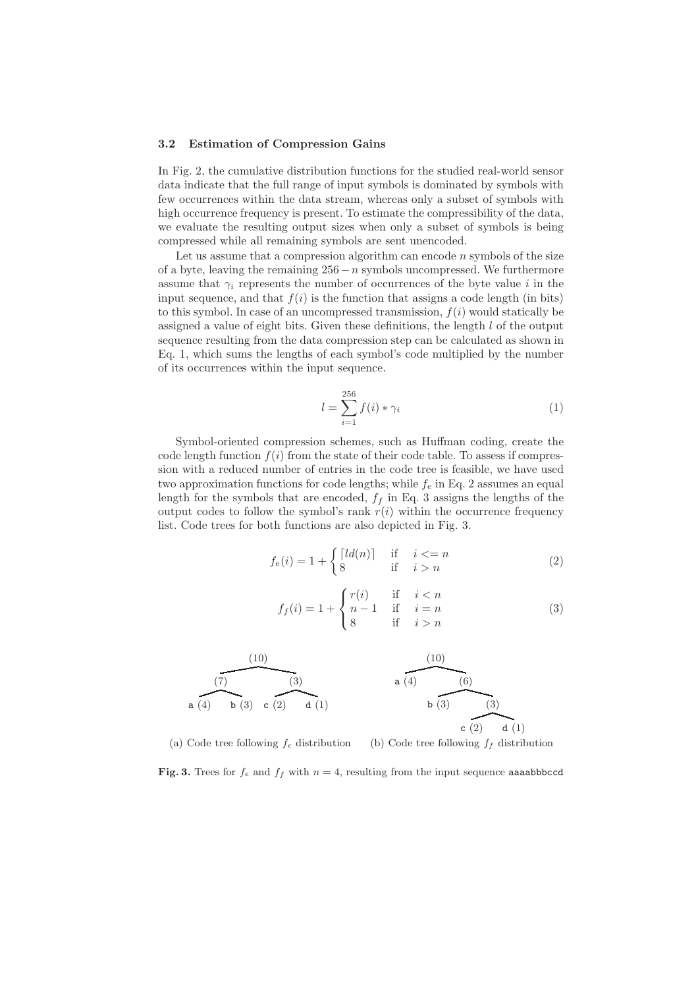#### 3.2 Estimation of Compression Gains

In Fig. 2, the cumulative distribution functions for the studied real-world sensor data indicate that the full range of input symbols is dominated by symbols with few occurrences within the data stream, whereas only a subset of symbols with high occurrence frequency is present. To estimate the compressibility of the data, we evaluate the resulting output sizes when only a subset of symbols is being compressed while all remaining symbols are sent unencoded.

Let us assume that a compression algorithm can encode  $n$  symbols of the size of a byte, leaving the remaining  $256 - n$  symbols uncompressed. We furthermore assume that  $\gamma_i$  represents the number of occurrences of the byte value i in the input sequence, and that  $f(i)$  is the function that assigns a code length (in bits) to this symbol. In case of an uncompressed transmission,  $f(i)$  would statically be assigned a value of eight bits. Given these definitions, the length  $l$  of the output sequence resulting from the data compression step can be calculated as shown in Eq. 1, which sums the lengths of each symbol's code multiplied by the number of its occurrences within the input sequence.

$$
l = \sum_{i=1}^{256} f(i) * \gamma_i \tag{1}
$$

Symbol-oriented compression schemes, such as Huffman coding, create the code length function  $f(i)$  from the state of their code table. To assess if compression with a reduced number of entries in the code tree is feasible, we have used two approximation functions for code lengths; while  $f_e$  in Eq. 2 assumes an equal length for the symbols that are encoded,  $f_f$  in Eq. 3 assigns the lengths of the output codes to follow the symbol's rank  $r(i)$  within the occurrence frequency list. Code trees for both functions are also depicted in Fig. 3.

$$
f_e(i) = 1 + \begin{cases} \lceil ld(n) \rceil & \text{if } i < = n \\ 8 & \text{if } i > n \end{cases}
$$
 (2)

$$
f_f(i) = 1 + \begin{cases} r(i) & \text{if } i < n \\ n - 1 & \text{if } i = n \\ 8 & \text{if } i > n \end{cases}
$$
 (3)



Fig. 3. Trees for  $f_e$  and  $f_f$  with  $n = 4$ , resulting from the input sequence aaaabbbccd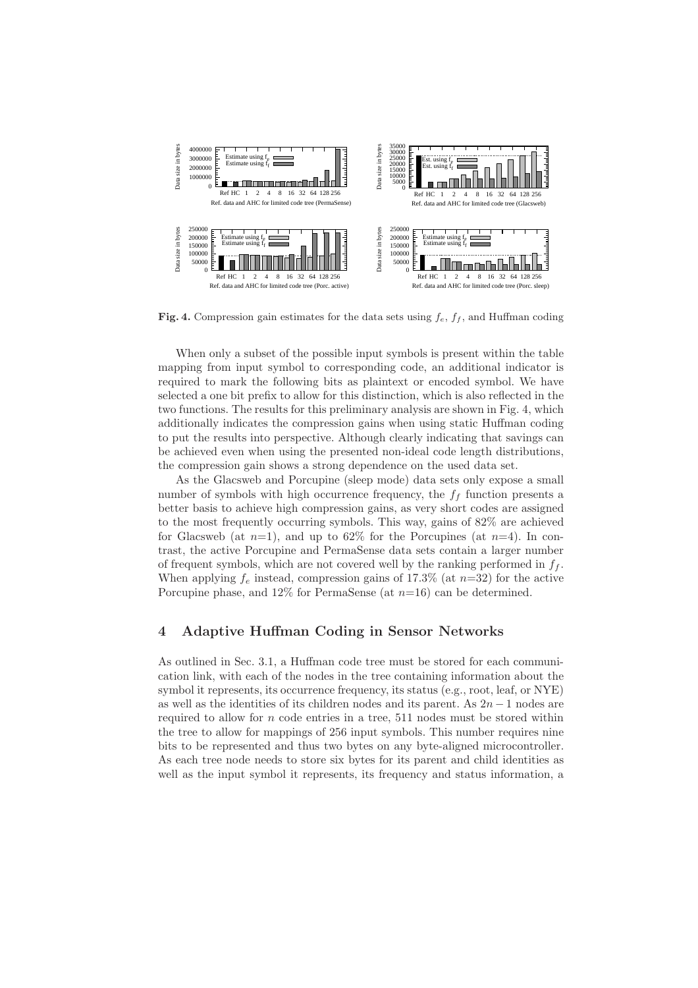

Fig. 4. Compression gain estimates for the data sets using  $f_e$ ,  $f_f$ , and Huffman coding

When only a subset of the possible input symbols is present within the table mapping from input symbol to corresponding code, an additional indicator is required to mark the following bits as plaintext or encoded symbol. We have selected a one bit prefix to allow for this distinction, which is also reflected in the two functions. The results for this preliminary analysis are shown in Fig. 4, which additionally indicates the compression gains when using static Huffman coding to put the results into perspective. Although clearly indicating that savings can be achieved even when using the presented non-ideal code length distributions, the compression gain shows a strong dependence on the used data set.

As the Glacsweb and Porcupine (sleep mode) data sets only expose a small number of symbols with high occurrence frequency, the  $f_f$  function presents a better basis to achieve high compression gains, as very short codes are assigned to the most frequently occurring symbols. This way, gains of 82% are achieved for Glacsweb (at  $n=1$ ), and up to 62% for the Porcupines (at  $n=4$ ). In contrast, the active Porcupine and PermaSense data sets contain a larger number of frequent symbols, which are not covered well by the ranking performed in  $f_f$ . When applying  $f_e$  instead, compression gains of 17.3% (at  $n=32$ ) for the active Porcupine phase, and  $12\%$  for PermaSense (at  $n=16$ ) can be determined.

#### 4 Adaptive Huffman Coding in Sensor Networks

As outlined in Sec. 3.1, a Huffman code tree must be stored for each communication link, with each of the nodes in the tree containing information about the symbol it represents, its occurrence frequency, its status (e.g., root, leaf, or NYE) as well as the identities of its children nodes and its parent. As  $2n-1$  nodes are required to allow for  $n$  code entries in a tree, 511 nodes must be stored within the tree to allow for mappings of 256 input symbols. This number requires nine bits to be represented and thus two bytes on any byte-aligned microcontroller. As each tree node needs to store six bytes for its parent and child identities as well as the input symbol it represents, its frequency and status information, a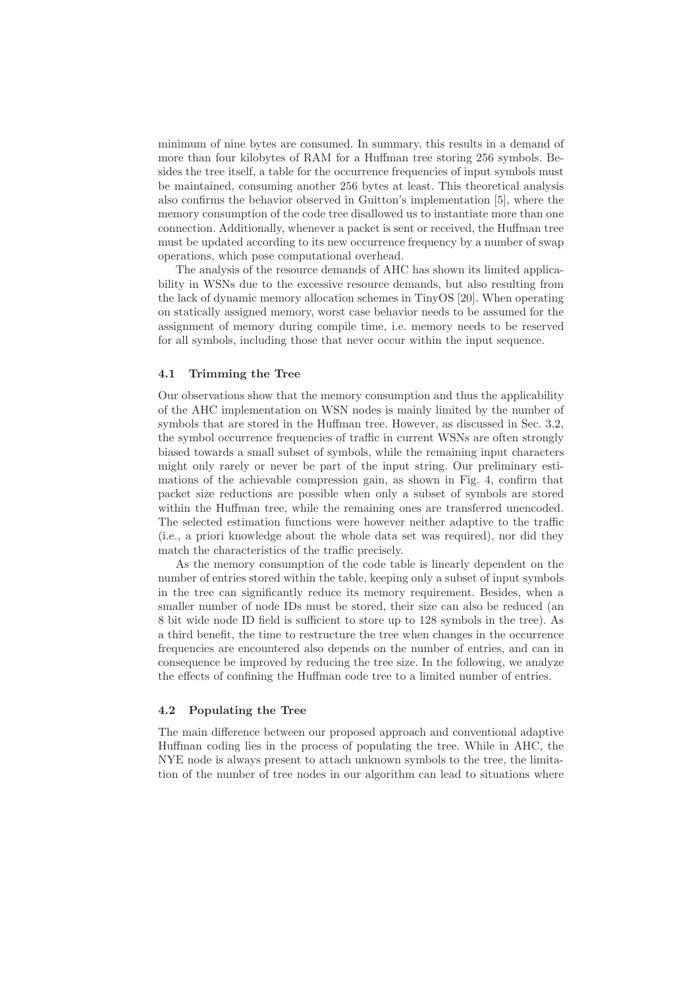minimum of nine bytes are consumed. In summary, this results in a demand of more than four kilobytes of RAM for a Huffman tree storing 256 symbols. Besides the tree itself, a table for the occurrence frequencies of input symbols must be maintained, consuming another 256 bytes at least. This theoretical analysis also confirms the behavior observed in Guitton's implementation [5], where the memory consumption of the code tree disallowed us to instantiate more than one connection. Additionally, whenever a packet is sent or received, the Huffman tree must be updated according to its new occurrence frequency by a number of swap operations, which pose computational overhead.

The analysis of the resource demands of AHC has shown its limited applicability in WSNs due to the excessive resource demands, but also resulting from the lack of dynamic memory allocation schemes in TinyOS [20]. When operating on statically assigned memory, worst case behavior needs to be assumed for the assignment of memory during compile time, i.e. memory needs to be reserved for all symbols, including those that never occur within the input sequence.

#### 4.1 Trimming the Tree

Our observations show that the memory consumption and thus the applicability of the AHC implementation on WSN nodes is mainly limited by the number of symbols that are stored in the Huffman tree. However, as discussed in Sec. 3.2, the symbol occurrence frequencies of traffic in current WSNs are often strongly biased towards a small subset of symbols, while the remaining input characters might only rarely or never be part of the input string. Our preliminary estimations of the achievable compression gain, as shown in Fig. 4, confirm that packet size reductions are possible when only a subset of symbols are stored within the Huffman tree, while the remaining ones are transferred unencoded. The selected estimation functions were however neither adaptive to the traffic (i.e., a priori knowledge about the whole data set was required), nor did they match the characteristics of the traffic precisely.

As the memory consumption of the code table is linearly dependent on the number of entries stored within the table, keeping only a subset of input symbols in the tree can significantly reduce its memory requirement. Besides, when a smaller number of node IDs must be stored, their size can also be reduced (an 8 bit wide node ID field is sufficient to store up to 128 symbols in the tree). As a third benefit, the time to restructure the tree when changes in the occurrence frequencies are encountered also depends on the number of entries, and can in consequence be improved by reducing the tree size. In the following, we analyze the effects of confining the Huffman code tree to a limited number of entries.

#### 4.2 Populating the Tree

The main difference between our proposed approach and conventional adaptive Huffman coding lies in the process of populating the tree. While in AHC, the NYE node is always present to attach unknown symbols to the tree, the limitation of the number of tree nodes in our algorithm can lead to situations where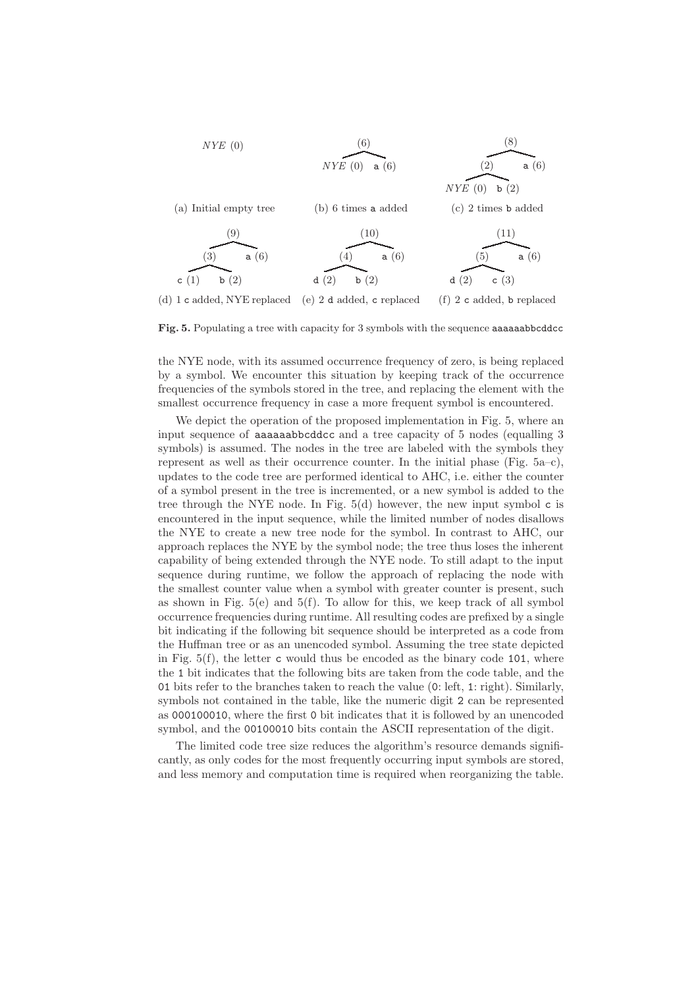$$
NYE (0)
$$
\n
$$
NYE (0)
$$
\na (6)\n
$$
NYE (0) a (6)
$$
\na (7)\na (8)\na (9)\n
$$
NYE (0) b (2)
$$
\n
$$
NYE (0) b (2)
$$
\n
$$
NYE (0) b (2)
$$
\n
$$
NYE (0) b (2)
$$
\n
$$
NYE (0) b (2)
$$
\n
$$
NYE (0) b (2)
$$
\n
$$
NYE (0) b (2)
$$
\n
$$
NYE (0) b (2)
$$
\n
$$
NYE (0) b (2)
$$
\n
$$
NYE (0) b (2)
$$
\n
$$
NYE (0) b (2)
$$
\n
$$
NYE (0) b (2)
$$
\n
$$
NYE (0) b (2)
$$
\n
$$
NYE (0) b (2)
$$
\n
$$
NYE (0) b (2)
$$
\n
$$
NYE (0) b (2)
$$
\n
$$
NYE (0) b (2)
$$
\n
$$
NYE (0) b (2)
$$
\n
$$
NYE (0) b (2)
$$
\n
$$
NYE (0) b (2)
$$
\n
$$
NYE (0) b (2)
$$
\n
$$
NYE (0) b (2)
$$
\n
$$
NYE (0) b (2)
$$
\n
$$
NYE (0) b (2)
$$
\n
$$
NYE (0) b (2)
$$

(d) 1 c added, NYE replaced (e) 2 d added, c replaced (f) 2 c added, b replaced

Fig. 5. Populating a tree with capacity for 3 symbols with the sequence aaaaaabbcddcc

the NYE node, with its assumed occurrence frequency of zero, is being replaced by a symbol. We encounter this situation by keeping track of the occurrence frequencies of the symbols stored in the tree, and replacing the element with the smallest occurrence frequency in case a more frequent symbol is encountered.

We depict the operation of the proposed implementation in Fig. 5, where an input sequence of aaaaaabbcddcc and a tree capacity of 5 nodes (equalling 3 symbols) is assumed. The nodes in the tree are labeled with the symbols they represent as well as their occurrence counter. In the initial phase (Fig. 5a–c), updates to the code tree are performed identical to AHC, i.e. either the counter of a symbol present in the tree is incremented, or a new symbol is added to the tree through the NYE node. In Fig. 5(d) however, the new input symbol c is encountered in the input sequence, while the limited number of nodes disallows the NYE to create a new tree node for the symbol. In contrast to AHC, our approach replaces the NYE by the symbol node; the tree thus loses the inherent capability of being extended through the NYE node. To still adapt to the input sequence during runtime, we follow the approach of replacing the node with the smallest counter value when a symbol with greater counter is present, such as shown in Fig.  $5(e)$  and  $5(f)$ . To allow for this, we keep track of all symbol occurrence frequencies during runtime. All resulting codes are prefixed by a single bit indicating if the following bit sequence should be interpreted as a code from the Huffman tree or as an unencoded symbol. Assuming the tree state depicted in Fig.  $5(f)$ , the letter c would thus be encoded as the binary code 101, where the 1 bit indicates that the following bits are taken from the code table, and the 01 bits refer to the branches taken to reach the value (0: left, 1: right). Similarly, symbols not contained in the table, like the numeric digit 2 can be represented as 000100010, where the first 0 bit indicates that it is followed by an unencoded symbol, and the 00100010 bits contain the ASCII representation of the digit.

The limited code tree size reduces the algorithm's resource demands significantly, as only codes for the most frequently occurring input symbols are stored, and less memory and computation time is required when reorganizing the table.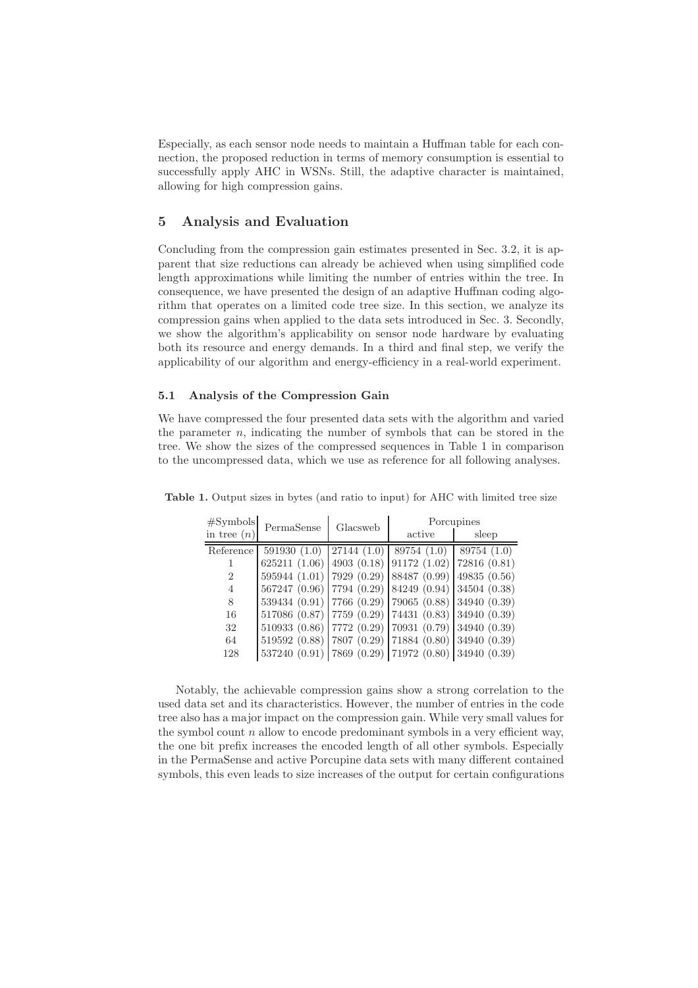Especially, as each sensor node needs to maintain a Huffman table for each connection, the proposed reduction in terms of memory consumption is essential to successfully apply AHC in WSNs. Still, the adaptive character is maintained, allowing for high compression gains.

# 5 Analysis and Evaluation

Concluding from the compression gain estimates presented in Sec. 3.2, it is apparent that size reductions can already be achieved when using simplified code length approximations while limiting the number of entries within the tree. In consequence, we have presented the design of an adaptive Huffman coding algorithm that operates on a limited code tree size. In this section, we analyze its compression gains when applied to the data sets introduced in Sec. 3. Secondly, we show the algorithm's applicability on sensor node hardware by evaluating both its resource and energy demands. In a third and final step, we verify the applicability of our algorithm and energy-efficiency in a real-world experiment.

### 5.1 Analysis of the Compression Gain

We have compressed the four presented data sets with the algorithm and varied the parameter  $n$ , indicating the number of symbols that can be stored in the tree. We show the sizes of the compressed sequences in Table 1 in comparison to the uncompressed data, which we use as reference for all following analyses.

| #Symbols       | PermaSense                                   | Glacsweb    | Porcupines                   |              |  |  |
|----------------|----------------------------------------------|-------------|------------------------------|--------------|--|--|
| in tree $(n)$  |                                              |             | active                       | sleep        |  |  |
| Reference      | 591930 (1.0)                                 | 27144(1.0)  | 89754 (1.0)                  | 89754 (1.0)  |  |  |
|                | 625211(1.06)                                 |             | 4903 $(0.18)$ 91172 $(1.02)$ | 72816 (0.81) |  |  |
| $\overline{2}$ | 595944 (1.01)                                | 7929 (0.29) | 88487 (0.99)                 | 49835(0.56)  |  |  |
| 4              | $567247 (0.96)$ 7794 (0.29) 84249 (0.94)     |             |                              | 34504(0.38)  |  |  |
| 8              | $539434(0.91)$ 7766 (0.29)                   |             | 79065 (0.88)                 | 34940 (0.39) |  |  |
| 16             | $517086$ $(0.87)$ 7759 $(0.29)$              |             | 74431 (0.83)                 | 34940 (0.39) |  |  |
| 32             | $510933$ $(0.86)$ 7772 $(0.29)$              |             | 70931 (0.79)                 | 34940 (0.39) |  |  |
| 64             | $519592$ $(0.88)$ 7807 $(0.29)$              |             | 71884 (0.80)                 | 34940 (0.39) |  |  |
| 128            | $537240 (0.91)$ 7869 $(0.29)$ 71972 $(0.80)$ |             |                              | 34940(0.39)  |  |  |

Table 1. Output sizes in bytes (and ratio to input) for AHC with limited tree size

Notably, the achievable compression gains show a strong correlation to the used data set and its characteristics. However, the number of entries in the code tree also has a major impact on the compression gain. While very small values for the symbol count  $n$  allow to encode predominant symbols in a very efficient way, the one bit prefix increases the encoded length of all other symbols. Especially in the PermaSense and active Porcupine data sets with many different contained symbols, this even leads to size increases of the output for certain configurations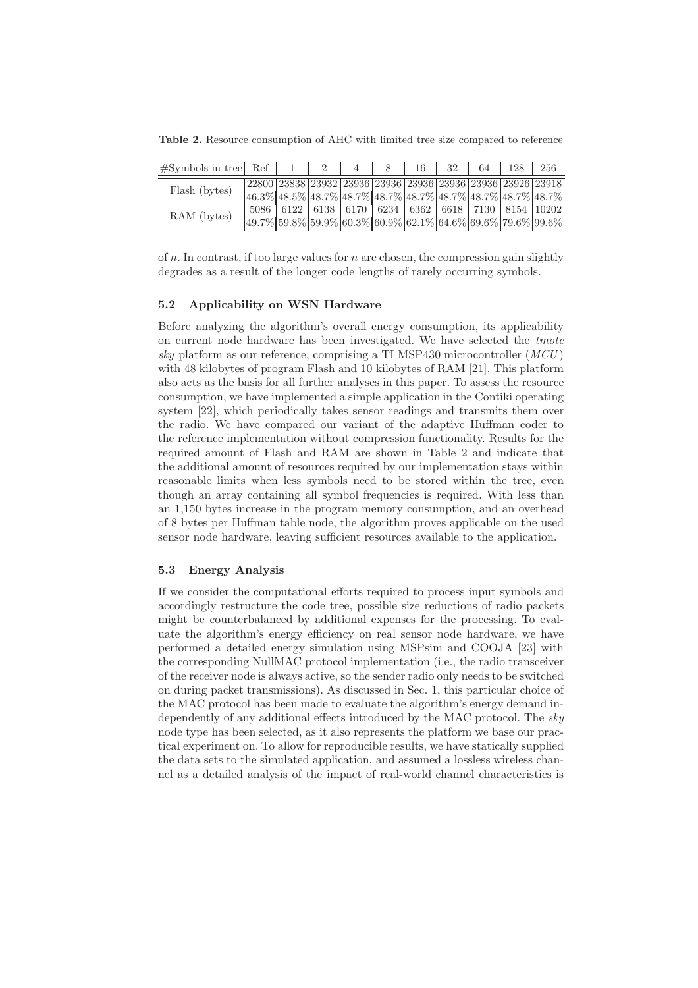Table 2. Resource consumption of AHC with limited tree size compared to reference

| $\#$ Symbols in tree Ref   1   2   4   8   16   32   64   128   256 |                                                                                                                                                    |                                                    |  |  |  |  |
|---------------------------------------------------------------------|----------------------------------------------------------------------------------------------------------------------------------------------------|----------------------------------------------------|--|--|--|--|
|                                                                     | 22800 23838 23932 23936 23936 23936 23936 23936 23936 23926 23918                                                                                  |                                                    |  |  |  |  |
| Flash (bytes)                                                       | $46.3\%$ 48.5% 48.7% 48.7% 48.7% 48.7% 48.7% 48.7% 48.7% 48.7% 48.7%                                                                               |                                                    |  |  |  |  |
| RAM (bytes)                                                         |                                                                                                                                                    | 5086 6122 6138 6170 6234 6362 6618 7130 8154 10202 |  |  |  |  |
|                                                                     | $\left  49.7\% \right  59.8\% \left  59.9\% \right  60.3\% \left  60.9\% \right  62.1\% \left  64.6\% \right  69.6\% \left  79.6\% \right  99.6\%$ |                                                    |  |  |  |  |

of n. In contrast, if too large values for n are chosen, the compression gain slightly degrades as a result of the longer code lengths of rarely occurring symbols.

#### 5.2 Applicability on WSN Hardware

Before analyzing the algorithm's overall energy consumption, its applicability on current node hardware has been investigated. We have selected the tmote sky platform as our reference, comprising a TI MSP430 microcontroller  $(MCU)$ with 48 kilobytes of program Flash and 10 kilobytes of RAM [21]. This platform also acts as the basis for all further analyses in this paper. To assess the resource consumption, we have implemented a simple application in the Contiki operating system [22], which periodically takes sensor readings and transmits them over the radio. We have compared our variant of the adaptive Huffman coder to the reference implementation without compression functionality. Results for the required amount of Flash and RAM are shown in Table 2 and indicate that the additional amount of resources required by our implementation stays within reasonable limits when less symbols need to be stored within the tree, even though an array containing all symbol frequencies is required. With less than an 1,150 bytes increase in the program memory consumption, and an overhead of 8 bytes per Huffman table node, the algorithm proves applicable on the used sensor node hardware, leaving sufficient resources available to the application.

## 5.3 Energy Analysis

If we consider the computational efforts required to process input symbols and accordingly restructure the code tree, possible size reductions of radio packets might be counterbalanced by additional expenses for the processing. To evaluate the algorithm's energy efficiency on real sensor node hardware, we have performed a detailed energy simulation using MSPsim and COOJA [23] with the corresponding NullMAC protocol implementation (i.e., the radio transceiver of the receiver node is always active, so the sender radio only needs to be switched on during packet transmissions). As discussed in Sec. 1, this particular choice of the MAC protocol has been made to evaluate the algorithm's energy demand independently of any additional effects introduced by the MAC protocol. The sky node type has been selected, as it also represents the platform we base our practical experiment on. To allow for reproducible results, we have statically supplied the data sets to the simulated application, and assumed a lossless wireless channel as a detailed analysis of the impact of real-world channel characteristics is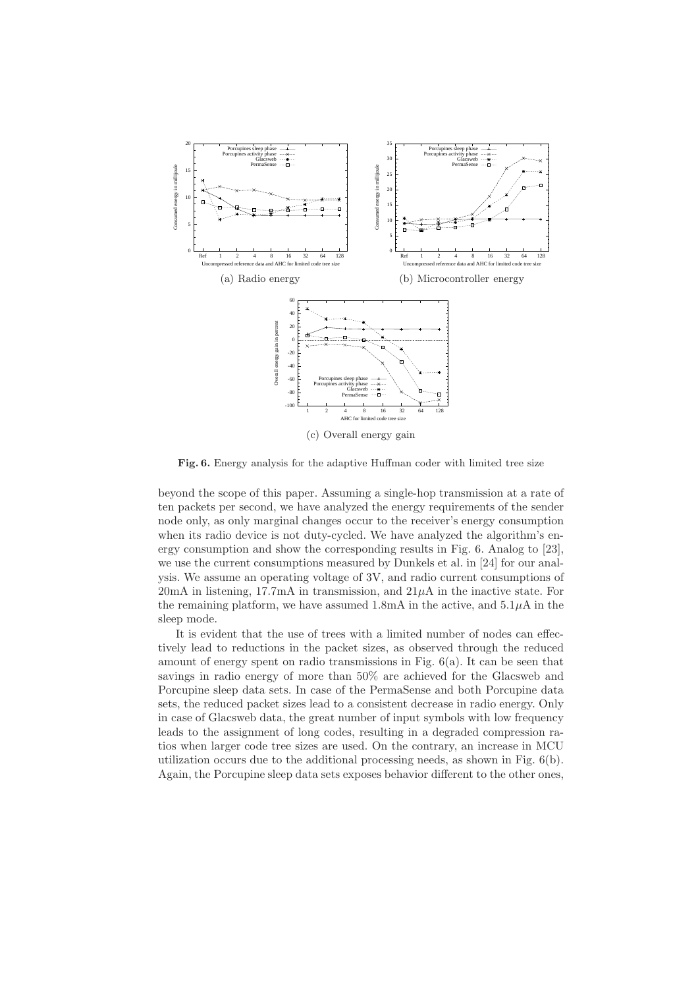

Fig. 6. Energy analysis for the adaptive Huffman coder with limited tree size

beyond the scope of this paper. Assuming a single-hop transmission at a rate of ten packets per second, we have analyzed the energy requirements of the sender node only, as only marginal changes occur to the receiver's energy consumption when its radio device is not duty-cycled. We have analyzed the algorithm's energy consumption and show the corresponding results in Fig. 6. Analog to [23], we use the current consumptions measured by Dunkels et al. in [24] for our analysis. We assume an operating voltage of 3V, and radio current consumptions of  $20 \text{mA}$  in listening, 17.7mA in transmission, and  $21 \mu\text{A}$  in the inactive state. For the remaining platform, we have assumed 1.8mA in the active, and  $5.1\mu$ A in the sleep mode.

It is evident that the use of trees with a limited number of nodes can effectively lead to reductions in the packet sizes, as observed through the reduced amount of energy spent on radio transmissions in Fig. 6(a). It can be seen that savings in radio energy of more than 50% are achieved for the Glacsweb and Porcupine sleep data sets. In case of the PermaSense and both Porcupine data sets, the reduced packet sizes lead to a consistent decrease in radio energy. Only in case of Glacsweb data, the great number of input symbols with low frequency leads to the assignment of long codes, resulting in a degraded compression ratios when larger code tree sizes are used. On the contrary, an increase in MCU utilization occurs due to the additional processing needs, as shown in Fig.  $6(b)$ . Again, the Porcupine sleep data sets exposes behavior different to the other ones,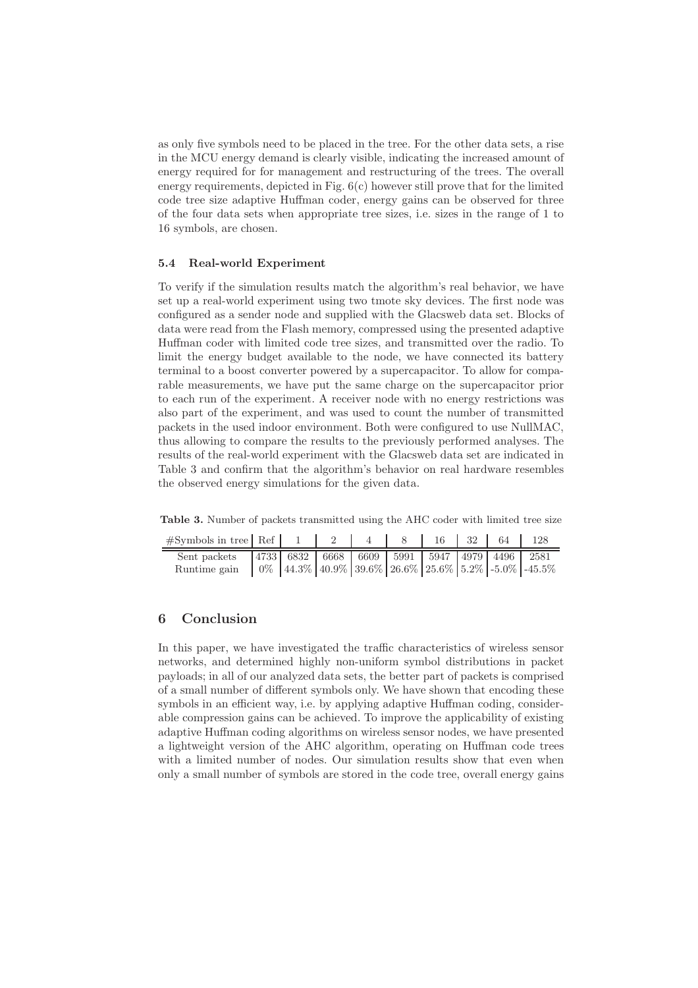as only five symbols need to be placed in the tree. For the other data sets, a rise in the MCU energy demand is clearly visible, indicating the increased amount of energy required for for management and restructuring of the trees. The overall energy requirements, depicted in Fig.  $6(c)$  however still prove that for the limited code tree size adaptive Huffman coder, energy gains can be observed for three of the four data sets when appropriate tree sizes, i.e. sizes in the range of 1 to 16 symbols, are chosen.

#### 5.4 Real-world Experiment

To verify if the simulation results match the algorithm's real behavior, we have set up a real-world experiment using two tmote sky devices. The first node was configured as a sender node and supplied with the Glacsweb data set. Blocks of data were read from the Flash memory, compressed using the presented adaptive Huffman coder with limited code tree sizes, and transmitted over the radio. To limit the energy budget available to the node, we have connected its battery terminal to a boost converter powered by a supercapacitor. To allow for comparable measurements, we have put the same charge on the supercapacitor prior to each run of the experiment. A receiver node with no energy restrictions was also part of the experiment, and was used to count the number of transmitted packets in the used indoor environment. Both were configured to use NullMAC, thus allowing to compare the results to the previously performed analyses. The results of the real-world experiment with the Glacsweb data set are indicated in Table 3 and confirm that the algorithm's behavior on real hardware resembles the observed energy simulations for the given data.

Table 3. Number of packets transmitted using the AHC coder with limited tree size

| $\#\mathrm{Symbols}$ in tree Ref   1   2                                                                                                                 |  |  | 8 16 32 64 |  | 128 |
|----------------------------------------------------------------------------------------------------------------------------------------------------------|--|--|------------|--|-----|
| Sent packets   4733   6832   6668   6609   5991   5947   4979   4496   2581                                                                              |  |  |            |  |     |
| Runtime gain $\left  0\% \right $ 44.3% $\left  40.9\% \right $ 39.6% $\left  26.6\% \right $ 25.6% $\left  5.2\% \right $ -5.0% $\left  45.5\% \right $ |  |  |            |  |     |

# 6 Conclusion

In this paper, we have investigated the traffic characteristics of wireless sensor networks, and determined highly non-uniform symbol distributions in packet payloads; in all of our analyzed data sets, the better part of packets is comprised of a small number of different symbols only. We have shown that encoding these symbols in an efficient way, i.e. by applying adaptive Huffman coding, considerable compression gains can be achieved. To improve the applicability of existing adaptive Huffman coding algorithms on wireless sensor nodes, we have presented a lightweight version of the AHC algorithm, operating on Huffman code trees with a limited number of nodes. Our simulation results show that even when only a small number of symbols are stored in the code tree, overall energy gains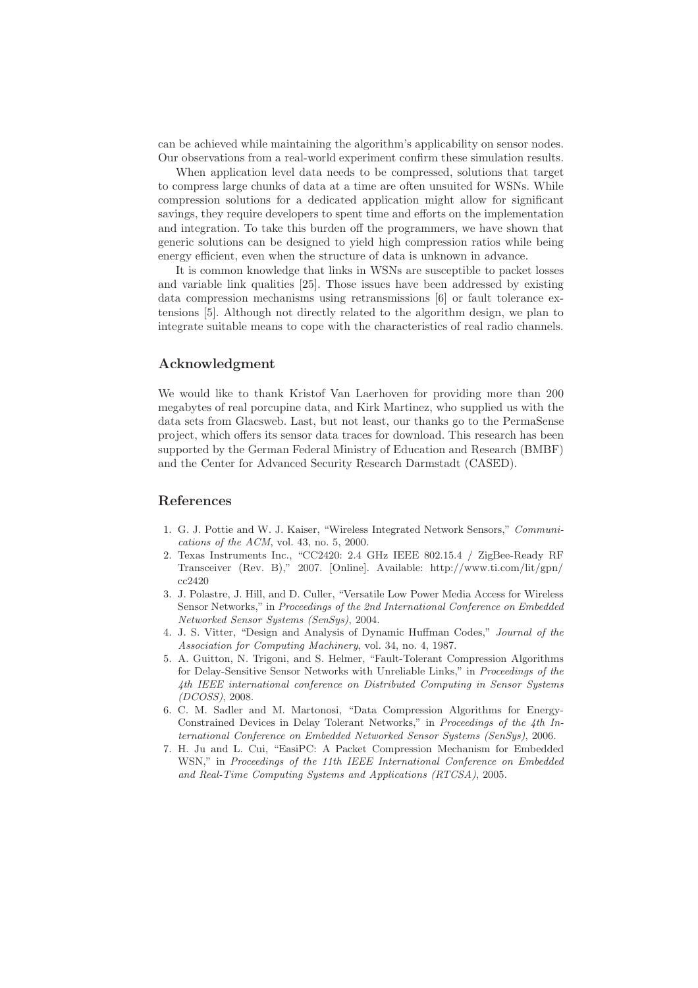can be achieved while maintaining the algorithm's applicability on sensor nodes. Our observations from a real-world experiment confirm these simulation results.

When application level data needs to be compressed, solutions that target to compress large chunks of data at a time are often unsuited for WSNs. While compression solutions for a dedicated application might allow for significant savings, they require developers to spent time and efforts on the implementation and integration. To take this burden off the programmers, we have shown that generic solutions can be designed to yield high compression ratios while being energy efficient, even when the structure of data is unknown in advance.

It is common knowledge that links in WSNs are susceptible to packet losses and variable link qualities [25]. Those issues have been addressed by existing data compression mechanisms using retransmissions [6] or fault tolerance extensions [5]. Although not directly related to the algorithm design, we plan to integrate suitable means to cope with the characteristics of real radio channels.

### Acknowledgment

We would like to thank Kristof Van Laerhoven for providing more than 200 megabytes of real porcupine data, and Kirk Martinez, who supplied us with the data sets from Glacsweb. Last, but not least, our thanks go to the PermaSense project, which offers its sensor data traces for download. This research has been supported by the German Federal Ministry of Education and Research (BMBF) and the Center for Advanced Security Research Darmstadt (CASED).

## References

- 1. G. J. Pottie and W. J. Kaiser, "Wireless Integrated Network Sensors," Communications of the ACM, vol. 43, no. 5, 2000.
- 2. Texas Instruments Inc., "CC2420: 2.4 GHz IEEE 802.15.4 / ZigBee-Ready RF Transceiver (Rev. B)," 2007. [Online]. Available: http://www.ti.com/lit/gpn/  $cc2420$
- 3. J. Polastre, J. Hill, and D. Culler, "Versatile Low Power Media Access for Wireless Sensor Networks," in Proceedings of the 2nd International Conference on Embedded Networked Sensor Systems (SenSys), 2004.
- 4. J. S. Vitter, "Design and Analysis of Dynamic Huffman Codes," Journal of the Association for Computing Machinery, vol. 34, no. 4, 1987.
- 5. A. Guitton, N. Trigoni, and S. Helmer, "Fault-Tolerant Compression Algorithms for Delay-Sensitive Sensor Networks with Unreliable Links," in Proceedings of the 4th IEEE international conference on Distributed Computing in Sensor Systems (DCOSS), 2008.
- 6. C. M. Sadler and M. Martonosi, "Data Compression Algorithms for Energy-Constrained Devices in Delay Tolerant Networks," in Proceedings of the 4th International Conference on Embedded Networked Sensor Systems (SenSys), 2006.
- 7. H. Ju and L. Cui, "EasiPC: A Packet Compression Mechanism for Embedded WSN," in Proceedings of the 11th IEEE International Conference on Embedded and Real-Time Computing Systems and Applications (RTCSA), 2005.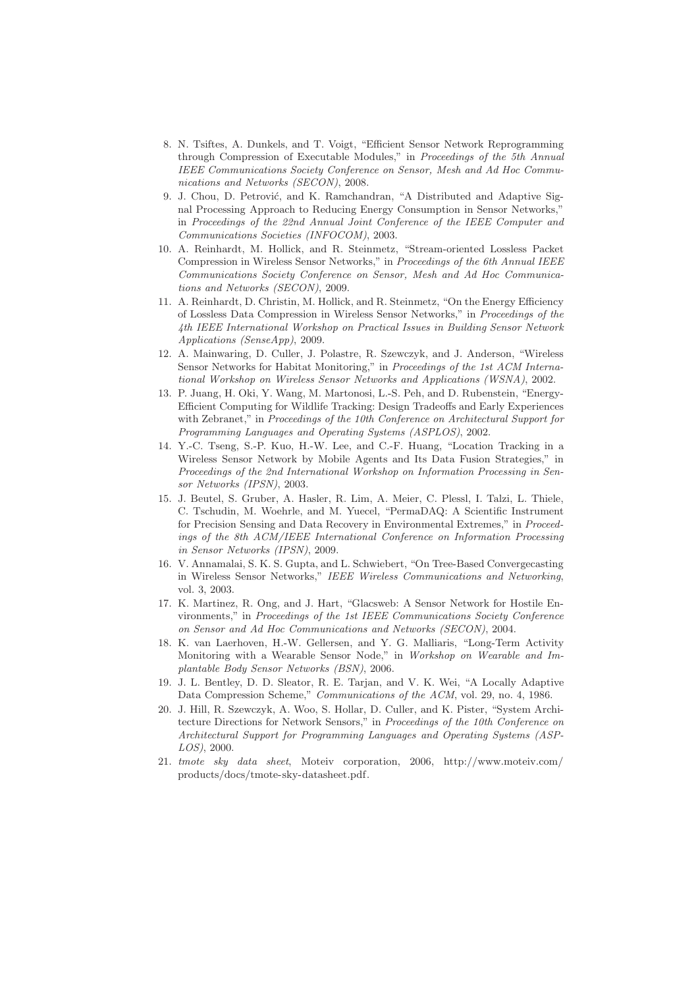- 8. N. Tsiftes, A. Dunkels, and T. Voigt, "Efficient Sensor Network Reprogramming through Compression of Executable Modules," in Proceedings of the 5th Annual IEEE Communications Society Conference on Sensor, Mesh and Ad Hoc Communications and Networks (SECON), 2008.
- 9. J. Chou, D. Petrović, and K. Ramchandran, "A Distributed and Adaptive Signal Processing Approach to Reducing Energy Consumption in Sensor Networks, in Proceedings of the 22nd Annual Joint Conference of the IEEE Computer and Communications Societies (INFOCOM), 2003.
- 10. A. Reinhardt, M. Hollick, and R. Steinmetz, "Stream-oriented Lossless Packet Compression in Wireless Sensor Networks," in Proceedings of the 6th Annual IEEE Communications Society Conference on Sensor, Mesh and Ad Hoc Communications and Networks (SECON), 2009.
- 11. A. Reinhardt, D. Christin, M. Hollick, and R. Steinmetz, "On the Energy Efficiency of Lossless Data Compression in Wireless Sensor Networks," in Proceedings of the 4th IEEE International Workshop on Practical Issues in Building Sensor Network Applications (SenseApp), 2009.
- 12. A. Mainwaring, D. Culler, J. Polastre, R. Szewczyk, and J. Anderson, "Wireless Sensor Networks for Habitat Monitoring," in Proceedings of the 1st ACM International Workshop on Wireless Sensor Networks and Applications (WSNA), 2002.
- 13. P. Juang, H. Oki, Y. Wang, M. Martonosi, L.-S. Peh, and D. Rubenstein, "Energy-Efficient Computing for Wildlife Tracking: Design Tradeoffs and Early Experiences with Zebranet," in Proceedings of the 10th Conference on Architectural Support for Programming Languages and Operating Systems (ASPLOS), 2002.
- 14. Y.-C. Tseng, S.-P. Kuo, H.-W. Lee, and C.-F. Huang, "Location Tracking in a Wireless Sensor Network by Mobile Agents and Its Data Fusion Strategies," in Proceedings of the 2nd International Workshop on Information Processing in Sensor Networks (IPSN), 2003.
- 15. J. Beutel, S. Gruber, A. Hasler, R. Lim, A. Meier, C. Plessl, I. Talzi, L. Thiele, C. Tschudin, M. Woehrle, and M. Yuecel, "PermaDAQ: A Scientific Instrument for Precision Sensing and Data Recovery in Environmental Extremes," in Proceedings of the 8th ACM/IEEE International Conference on Information Processing in Sensor Networks (IPSN), 2009.
- 16. V. Annamalai, S. K. S. Gupta, and L. Schwiebert, "On Tree-Based Convergecasting in Wireless Sensor Networks," IEEE Wireless Communications and Networking, vol. 3, 2003.
- 17. K. Martinez, R. Ong, and J. Hart, "Glacsweb: A Sensor Network for Hostile Environments," in Proceedings of the 1st IEEE Communications Society Conference on Sensor and Ad Hoc Communications and Networks (SECON), 2004.
- 18. K. van Laerhoven, H.-W. Gellersen, and Y. G. Malliaris, "Long-Term Activity Monitoring with a Wearable Sensor Node," in Workshop on Wearable and Implantable Body Sensor Networks (BSN), 2006.
- 19. J. L. Bentley, D. D. Sleator, R. E. Tarjan, and V. K. Wei, "A Locally Adaptive Data Compression Scheme," Communications of the ACM, vol. 29, no. 4, 1986.
- 20. J. Hill, R. Szewczyk, A. Woo, S. Hollar, D. Culler, and K. Pister, "System Architecture Directions for Network Sensors," in Proceedings of the 10th Conference on Architectural Support for Programming Languages and Operating Systems (ASP-LOS), 2000.
- 21. tmote sky data sheet, Moteiv corporation, 2006, http://www.moteiv.com/ products/docs/tmote-sky-datasheet.pdf.